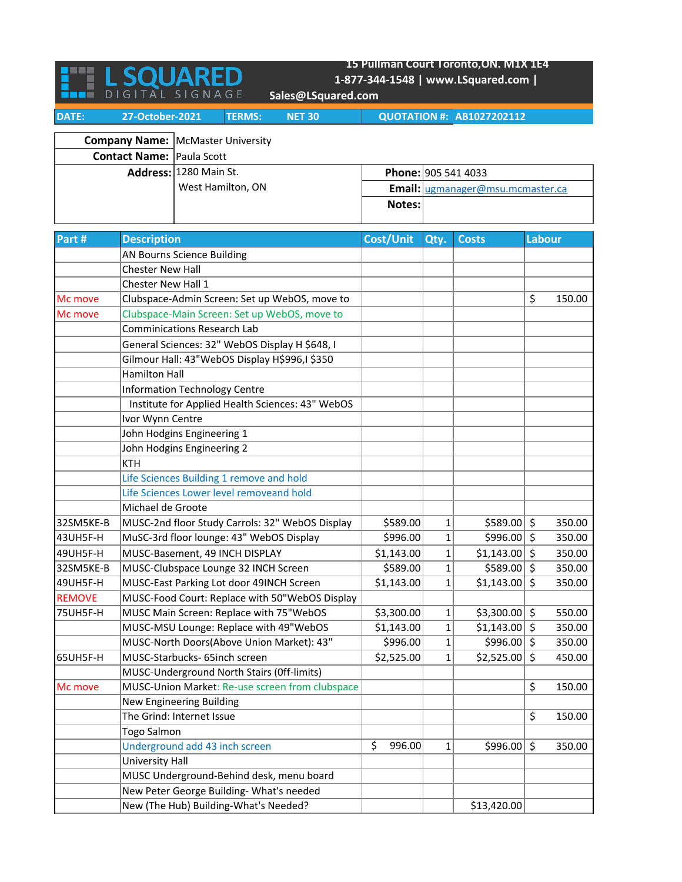|                                  | 15 Pullman Court Toronto, ON. M1X 1E4            |                                                 |                                   |                                  |                                  |                     |        |  |  |  |
|----------------------------------|--------------------------------------------------|-------------------------------------------------|-----------------------------------|----------------------------------|----------------------------------|---------------------|--------|--|--|--|
|                                  |                                                  | <b>L SOUARED</b>                                | 1-877-344-1548   www.LSquared.com |                                  |                                  |                     |        |  |  |  |
|                                  |                                                  | DIGITAL SIGNAGE<br>Sales@LSquared.com           |                                   |                                  |                                  |                     |        |  |  |  |
| DATE:                            | 27-October-2021                                  | <b>NET 30</b><br><b>TERMS:</b>                  |                                   |                                  | <b>QUOTATION #: AB1027202112</b> |                     |        |  |  |  |
|                                  |                                                  |                                                 |                                   |                                  |                                  |                     |        |  |  |  |
|                                  |                                                  | <b>Company Name:   McMaster University</b>      |                                   |                                  |                                  |                     |        |  |  |  |
| <b>Contact Name: Paula Scott</b> |                                                  |                                                 |                                   |                                  |                                  |                     |        |  |  |  |
|                                  |                                                  | Address: 1280 Main St.                          | Phone: 905 541 4033               |                                  |                                  |                     |        |  |  |  |
|                                  |                                                  | West Hamilton, ON                               |                                   | Email: ugmanager@msu.mcmaster.ca |                                  |                     |        |  |  |  |
|                                  |                                                  |                                                 | Notes:                            |                                  |                                  |                     |        |  |  |  |
|                                  |                                                  |                                                 |                                   |                                  |                                  |                     |        |  |  |  |
| Part #                           | <b>Description</b>                               |                                                 | Cost/Unit                         | Qty.                             | <b>Costs</b>                     | Labour              |        |  |  |  |
|                                  |                                                  | AN Bourns Science Building                      |                                   |                                  |                                  |                     |        |  |  |  |
|                                  | <b>Chester New Hall</b>                          |                                                 |                                   |                                  |                                  |                     |        |  |  |  |
|                                  | Chester New Hall 1                               |                                                 |                                   |                                  |                                  |                     |        |  |  |  |
| Mc move                          |                                                  | Clubspace-Admin Screen: Set up WebOS, move to   |                                   |                                  |                                  | \$                  | 150.00 |  |  |  |
| Mc move                          |                                                  | Clubspace-Main Screen: Set up WebOS, move to    |                                   |                                  |                                  |                     |        |  |  |  |
|                                  |                                                  | <b>Comminications Research Lab</b>              |                                   |                                  |                                  |                     |        |  |  |  |
|                                  |                                                  | General Sciences: 32" WebOS Display H \$648, I  |                                   |                                  |                                  |                     |        |  |  |  |
|                                  |                                                  | Gilmour Hall: 43"WebOS Display H\$996,I \$350   |                                   |                                  |                                  |                     |        |  |  |  |
|                                  | <b>Hamilton Hall</b>                             |                                                 |                                   |                                  |                                  |                     |        |  |  |  |
|                                  |                                                  | <b>Information Technology Centre</b>            |                                   |                                  |                                  |                     |        |  |  |  |
|                                  | Institute for Applied Health Sciences: 43" WebOS |                                                 |                                   |                                  |                                  |                     |        |  |  |  |
|                                  | Ivor Wynn Centre                                 |                                                 |                                   |                                  |                                  |                     |        |  |  |  |
|                                  | John Hodgins Engineering 1                       |                                                 |                                   |                                  |                                  |                     |        |  |  |  |
|                                  |                                                  | John Hodgins Engineering 2                      |                                   |                                  |                                  |                     |        |  |  |  |
|                                  | <b>KTH</b>                                       |                                                 |                                   |                                  |                                  |                     |        |  |  |  |
|                                  |                                                  | Life Sciences Building 1 remove and hold        |                                   |                                  |                                  |                     |        |  |  |  |
|                                  |                                                  | Life Sciences Lower level removeand hold        |                                   |                                  |                                  |                     |        |  |  |  |
|                                  | Michael de Groote                                |                                                 |                                   |                                  |                                  |                     |        |  |  |  |
| 32SM5KE-B                        |                                                  | MUSC-2nd floor Study Carrols: 32" WebOS Display | \$589.00                          | 1                                | \$589.00                         | $\ddot{\mathsf{S}}$ | 350.00 |  |  |  |
| 43UH5F-H                         |                                                  | MuSC-3rd floor lounge: 43" WebOS Display        | \$996.00                          | 1                                | $$996.00$ \$                     |                     | 350.00 |  |  |  |
| 49UH5F-H                         |                                                  | MUSC-Basement, 49 INCH DISPLAY                  | \$1,143.00                        | $\mathbf{1}$                     | $$1,143.00$ \$                   |                     | 350.00 |  |  |  |
| 32SM5KE-B                        |                                                  | MUSC-Clubspace Lounge 32 INCH Screen            | \$589.00                          | 1                                | \$589.00                         | $\zeta$             | 350.00 |  |  |  |
| 49UH5F-H                         |                                                  | MUSC-East Parking Lot door 49INCH Screen        | \$1,143.00                        | 1                                | \$1,143.00                       | $\zeta$             | 350.00 |  |  |  |
| <b>REMOVE</b>                    |                                                  | MUSC-Food Court: Replace with 50"WebOS Display  |                                   |                                  |                                  |                     |        |  |  |  |
| 75UH5F-H                         |                                                  | MUSC Main Screen: Replace with 75"WebOS         | \$3,300.00                        | 1                                | \$3,300.00                       | \$                  | 550.00 |  |  |  |
|                                  |                                                  | MUSC-MSU Lounge: Replace with 49"WebOS          | \$1,143.00                        | $\mathbf 1$                      | \$1,143.00                       | \$                  | 350.00 |  |  |  |
|                                  |                                                  | MUSC-North Doors(Above Union Market): 43"       | \$996.00                          | $\mathbf 1$                      | \$996.00                         | \$                  | 350.00 |  |  |  |
| 65UH5F-H                         |                                                  | MUSC-Starbucks- 65inch screen                   | \$2,525.00                        | $\mathbf{1}$                     | \$2,525.00                       | \$                  | 450.00 |  |  |  |
|                                  |                                                  | MUSC-Underground North Stairs (Off-limits)      |                                   |                                  |                                  |                     |        |  |  |  |
| Mc move                          |                                                  | MUSC-Union Market: Re-use screen from clubspace |                                   |                                  |                                  | \$                  | 150.00 |  |  |  |
|                                  |                                                  | New Engineering Building                        |                                   |                                  |                                  |                     |        |  |  |  |
|                                  |                                                  | The Grind: Internet Issue                       |                                   |                                  |                                  | \$                  | 150.00 |  |  |  |
|                                  | Togo Salmon                                      |                                                 |                                   |                                  |                                  |                     |        |  |  |  |
|                                  |                                                  | Underground add 43 inch screen                  | \$<br>996.00                      | 1                                | \$996.00                         | \$                  | 350.00 |  |  |  |
|                                  | University Hall                                  |                                                 |                                   |                                  |                                  |                     |        |  |  |  |
|                                  |                                                  | MUSC Underground-Behind desk, menu board        |                                   |                                  |                                  |                     |        |  |  |  |
|                                  |                                                  | New Peter George Building- What's needed        |                                   |                                  |                                  |                     |        |  |  |  |
|                                  |                                                  | New (The Hub) Building-What's Needed?           |                                   |                                  | \$13,420.00                      |                     |        |  |  |  |